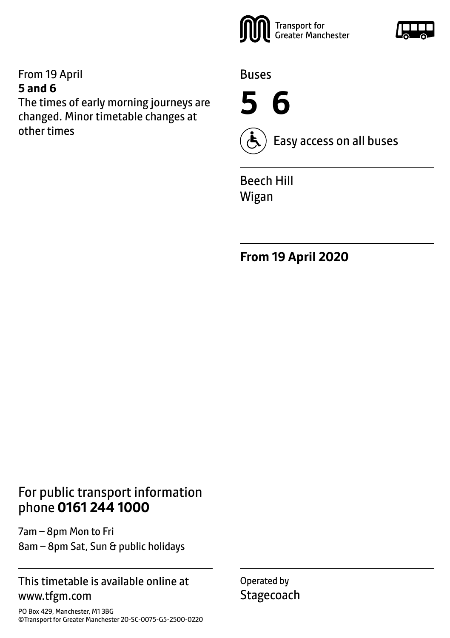#### From 19 April **5 and 6**

The times of early morning journeys are changed. Minor timetable changes at other times



Buses

**5 6**



Easy access on all buses

Beech Hill Wigan

**From 19 April 2020**

### For public transport information phone **0161 244 1000**

7am – 8pm Mon to Fri 8am – 8pm Sat, Sun & public holidays

#### This timetable is available online at www.tfgm.com

PO Box 429, Manchester, M1 3BG ©Transport for Greater Manchester 20-SC-0075-G5-2500-0220 Operated by **Stagecoach**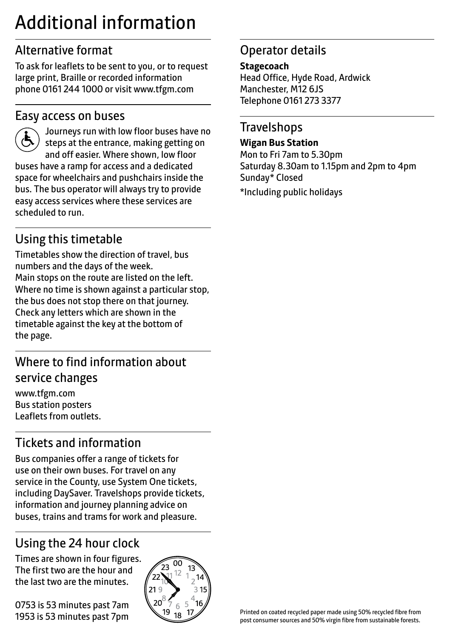# Additional information

### Alternative format

To ask for leaflets to be sent to you, or to request large print, Braille or recorded information phone 0161 244 1000 or visit www.tfgm.com

#### Easy access on buses



 Journeys run with low floor buses have no steps at the entrance, making getting on and off easier. Where shown, low floor buses have a ramp for access and a dedicated space for wheelchairs and pushchairs inside the bus. The bus operator will always try to provide easy access services where these services are scheduled to run.

## Using this timetable

Timetables show the direction of travel, bus numbers and the days of the week. Main stops on the route are listed on the left. Where no time is shown against a particular stop, the bus does not stop there on that journey. Check any letters which are shown in the timetable against the key at the bottom of the page.

### Where to find information about service changes

www.tfgm.com Bus station posters Leaflets from outlets.

# Tickets and information

Bus companies offer a range of tickets for use on their own buses. For travel on any service in the County, use System One tickets, including DaySaver. Travelshops provide tickets, information and journey planning advice on buses, trains and trams for work and pleasure.

# Using the 24 hour clock

Times are shown in four figures. The first two are the hour and the last two are the minutes.

0753 is 53 minutes past 7am 1953 is 53 minutes past 7pm



### Operator details

#### **Stagecoach**

Head Office, Hyde Road, Ardwick Manchester, M12 6 IS Telephone 0161 273 3377

### **Travelshops**

#### **Wigan Bus Station**

Mon to Fri 7am to 5.30pm Saturday 8.30am to 1.15pm and 2pm to 4pm Sunday\* Closed

\*Including public holidays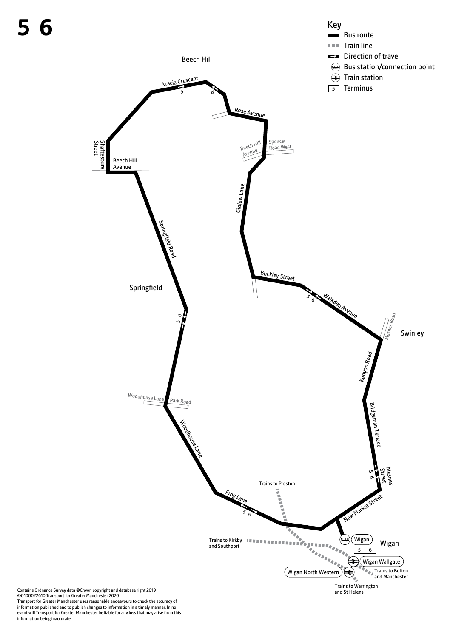

Transport for Greater Manchester uses reasonable endeavours to check the accuracy of information published and to publish changes to information in a timely manner. In no event will Transport for Greater Manchester be liable for any loss that may arise from this information being inaccurate.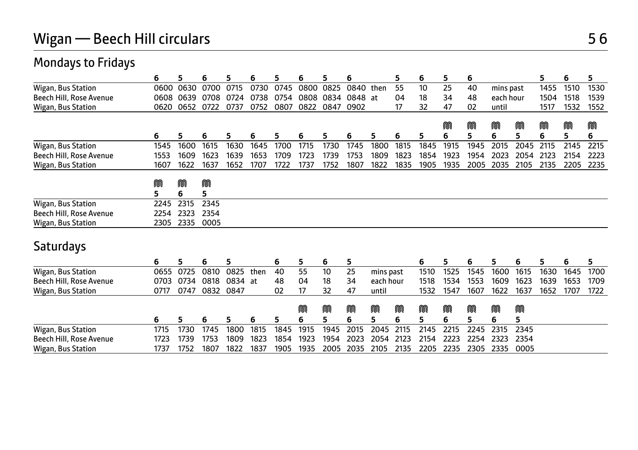| <b>Mondays to Fridays</b> |        |        |        |           |      |      |      |      |         |           |      |      |      |      |           |      |      |      |      |
|---------------------------|--------|--------|--------|-----------|------|------|------|------|---------|-----------|------|------|------|------|-----------|------|------|------|------|
|                           | 6      | 5      | 6      | 5         | 6    | 5    | 6    | 5    | 6       |           | 5    | 6    | 5.   | 6    |           |      | 5    | 6    | 5    |
| Wigan, Bus Station        | 0600   | 0630   | 0700   | 0715      | 0730 | 0745 | 0800 | 0825 | 0840    | then      | 55   | 10   | 25   | 40   | mins past |      | 1455 | 1510 | 1530 |
| Beech Hill, Rose Avenue   | 0608   | 0639   | 0708   | 0724      | 0738 | 0754 | 0808 | 0834 | 0848 at |           | 04   | 18   | 34   | 48   | each hour |      | 1504 | 1518 | 1539 |
| Wigan, Bus Station        | 0620   | 0652   | 0722   | 0737      | 0752 | 0807 | 0822 | 0847 | 0902    |           | 17   | 32   | 47   | 02   | until     |      | 1517 | 1532 | 1552 |
|                           |        |        |        |           |      |      |      |      |         |           |      |      | M    | M    | M         | M    | m    | M    | M    |
|                           | 6      | 5      | 6      | 5         | 6    | 5    | 6    | 5    | 6       | 5         | 6    | 5    | 6    | 5    | 6         | 5    | 6    | 5    | 6    |
| Wigan, Bus Station        | 1545   | 1600   | 1615   | 1630      | 1645 | 1700 | 1715 | 1730 | 1745    | 1800      | 1815 | 1845 | 1915 | 1945 | 2015      | 2045 | 2115 | 2145 | 2215 |
| Beech Hill, Rose Avenue   | 1553   | 1609   | 1623   | 1639      | 1653 | 1709 | 1723 | 1739 | 1753    | 1809      | 1823 | 1854 | 1923 | 1954 | 2023      | 2054 | 2123 | 2154 | 2223 |
| Wigan, Bus Station        | 1607   | 1622   | 1637   | 1652      | 1707 | 1722 | 1737 | 1752 | 1807    | 1822      | 1835 | 1905 | 1935 | 2005 | 2035      | 2105 | 2135 | 2205 | 2235 |
|                           |        |        |        |           |      |      |      |      |         |           |      |      |      |      |           |      |      |      |      |
|                           | M<br>5 | M<br>6 | M<br>5 |           |      |      |      |      |         |           |      |      |      |      |           |      |      |      |      |
| Wigan, Bus Station        | 2245   | 2315   | 2345   |           |      |      |      |      |         |           |      |      |      |      |           |      |      |      |      |
| Beech Hill, Rose Avenue   | 2254   | 2323   | 2354   |           |      |      |      |      |         |           |      |      |      |      |           |      |      |      |      |
| Wigan, Bus Station        | 2305   | 2335   | 0005   |           |      |      |      |      |         |           |      |      |      |      |           |      |      |      |      |
|                           |        |        |        |           |      |      |      |      |         |           |      |      |      |      |           |      |      |      |      |
| Saturdays                 |        |        |        |           |      |      |      |      |         |           |      |      |      |      |           |      |      |      |      |
|                           | 6      | 5      | 6      | 5         |      | 6    | 5    | 6    | 5       |           |      | 6    | 5    | 6    | 5         | 6    | 5    | 6    | 5    |
| Wigan, Bus Station        | 0655   | 0725   | 0810   | 0825      | then | 40   | 55   | 10   | 25      | mins past |      | 1510 | 1525 | 1545 | 1600      | 1615 | 1630 | 1645 | 1700 |
| Beech Hill, Rose Avenue   | 0703   | 0734   | 0818   | 0834      | at   | 48   | 04   | 18   | 34      | each hour |      | 1518 | 1534 | 1553 | 1609      | 1623 | 1639 | 1653 | 1709 |
| Wigan, Bus Station        | 0717   | 0747   |        | 0832 0847 |      | 02   | 17   | 32   | 47      | until     |      | 1532 | 1547 | 1607 | 1622      | 1637 | 1652 | 1707 | 1722 |
|                           |        |        |        |           |      |      | M    | M    | M       | M         | M    | M    | M    | M    | M         | M    |      |      |      |
|                           | 6      | 5      | 6      | 5         | 6    | 5    | 6    | 5    | 6       | 5         | 6    | 5    | 6    | 5    | 6         | 5    |      |      |      |
| Wigan, Bus Station        | 1715   | 1730   | 1745   | 1800      | 1815 | 1845 | 1915 | 1945 | 2015    | 2045      | 2115 | 2145 | 2215 | 2245 | 2315      | 2345 |      |      |      |
| Beech Hill, Rose Avenue   | 1723   | 1739   | 1753   | 1809      | 1823 | 1854 | 1923 | 1954 | 2023    | 2054      | 2123 | 2154 | 2223 | 2254 | 2323      | 2354 |      |      |      |
| Wigan, Bus Station        | 1737   | 1752   | 1807   | 1822      | 1837 | 1905 | 1935 | 2005 | 2035    | 2105      | 2135 | 2205 | 2235 | 2305 | 2335      | 0005 |      |      |      |